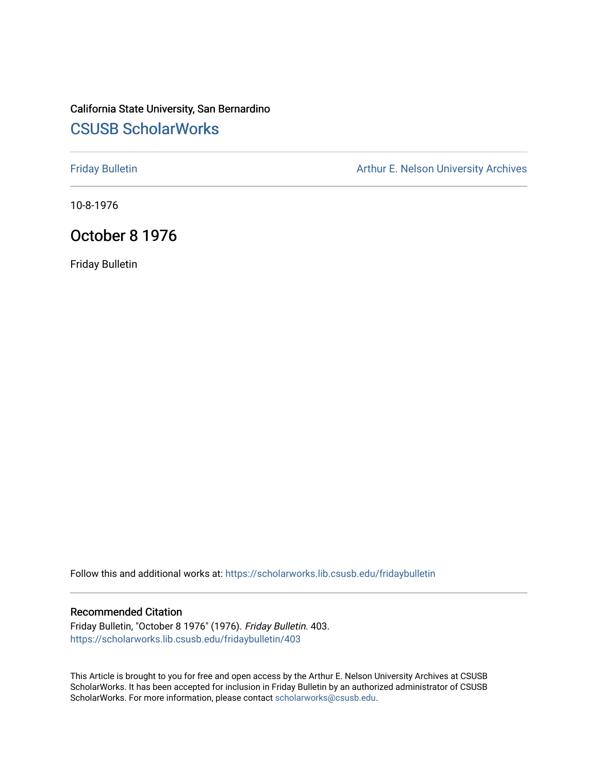# California State University, San Bernardino [CSUSB ScholarWorks](https://scholarworks.lib.csusb.edu/)

[Friday Bulletin](https://scholarworks.lib.csusb.edu/fridaybulletin) **Arthur E. Nelson University Archives** Arthur E. Nelson University Archives

10-8-1976

# October 8 1976

Friday Bulletin

Follow this and additional works at: [https://scholarworks.lib.csusb.edu/fridaybulletin](https://scholarworks.lib.csusb.edu/fridaybulletin?utm_source=scholarworks.lib.csusb.edu%2Ffridaybulletin%2F403&utm_medium=PDF&utm_campaign=PDFCoverPages)

## Recommended Citation

Friday Bulletin, "October 8 1976" (1976). Friday Bulletin. 403. [https://scholarworks.lib.csusb.edu/fridaybulletin/403](https://scholarworks.lib.csusb.edu/fridaybulletin/403?utm_source=scholarworks.lib.csusb.edu%2Ffridaybulletin%2F403&utm_medium=PDF&utm_campaign=PDFCoverPages)

This Article is brought to you for free and open access by the Arthur E. Nelson University Archives at CSUSB ScholarWorks. It has been accepted for inclusion in Friday Bulletin by an authorized administrator of CSUSB ScholarWorks. For more information, please contact [scholarworks@csusb.edu.](mailto:scholarworks@csusb.edu)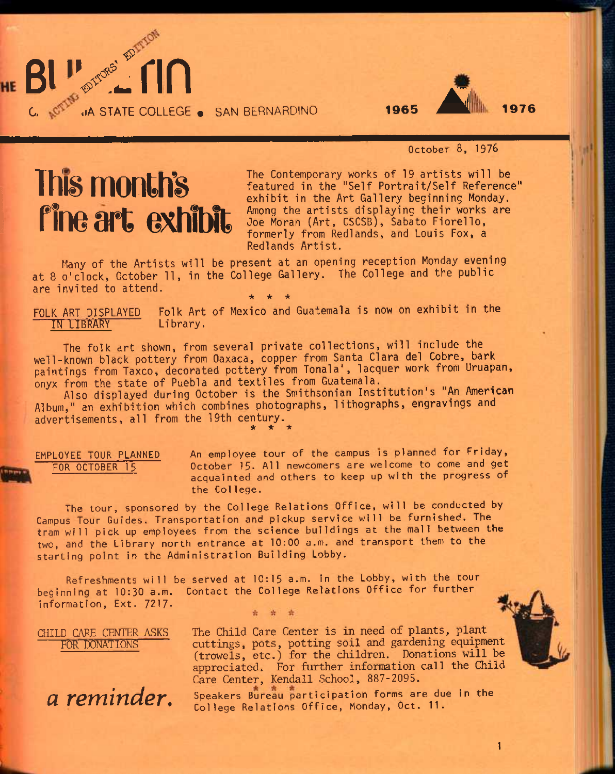

## October 8, 1978

# Thi§ month's fine art exhibit

**C. .lA STATE COLLEGE « SAN** BERNARDINO

**BITTORS' EDIT** 

The Contemporary works of 19 artists will be featured in the "Self Portrait/Self Reference" exhibit in the Art Gallery beginning Monday. Among the artists displaying their works are Joe Moran (Art, CSCSB), Sabato Fiorello, formerly from Redlands, and Louis Fox, a Redlands Artist.

Many of the Artists will be present at an opening reception Monday evening at 8 o'clock, October 11, in the College Gallery. The College and the public are invited to attend. • \* •

Folk Art of Mexico and Guatemala is now on exhibit in the FOLK ART DISPLAYED Folk Art<br>IN LIBRARY Library.

The folk art shown, from several private collections, will include the well-known black pottery from Oaxaca, copper from Santa Clara del Cobre, bark paintings from Taxco, decorated pottery from Tonala', lacquer work from Uruapan, onyx from the state of Puebla and textiles from Guatemala.

Also displayed during October is the Smithsonian Institution's "An American Album," an exhibition which combines photographs, lithographs, engravings and advertisements, all from the 19th century. **\* \* \*** 

EMPLOYEE TOUR PLANNED An employee tour of the campus is planned for Friday, FOR OCTOBER 15 October 15. All newcomers are welcome to come and get acquainted and others to keep up with the progress of the Col lege.

The tour, sponsored by the College Relations Office, will be conducted by Campus Tour Guides. Transportation and pickup service will be furnished. The tram will pick up employees from the science buildings at the mall between the two, and the Library north entrance at 10:00 a.m. and transport them to the starting point in the Administration Building Lobby.

Refreshments will be served at 10:15 a.m. In the Lobby, with the tour beginning at 10:30 a.m. Contact the College Relations Office for further information. Ext. 7217-

CHILD CARE CENTER **ASKS FOR DONATIONS** 

*a reminder.* 

The Child Care Center is in need of plants, plant cuttings, pots, potting soil and gardening equipment (trowels, etc.) for the children. Donations will be appreciated. For further information call the Child Care Center, Kendall School, 887-2095.

Speakers Bureau participation forms are due in the College Relations Office, Monday, Oct. 11.



1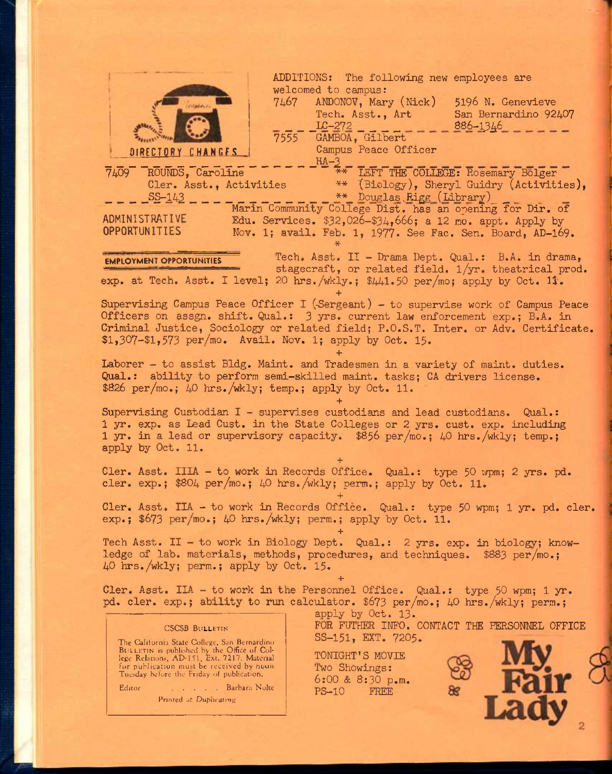|                                                                                                                                                  | ADDITIONS: The following new employees are                 |
|--------------------------------------------------------------------------------------------------------------------------------------------------|------------------------------------------------------------|
| welcomed to campus:                                                                                                                              |                                                            |
| 7467 ANDONOV, Mary (Nick)<br><b>COLLANS</b>                                                                                                      | 5196 N. Genevieve                                          |
| Tech. Asst., Art<br>$LC-272$                                                                                                                     | San Bernardino 92407<br>886-1346                           |
| 7555 GAMBOA, Gilbert                                                                                                                             |                                                            |
| Campus Peace Officer<br>DIRECTORY CHANGES                                                                                                        |                                                            |
| $HA-3$<br>7409 ROUNDS, Caroline                                                                                                                  | ** LEFT THE COLLEGE: Rosemary Bolger                       |
| Cler. Asst., Activities                                                                                                                          | ** (Biology), Sheryl Guidry (Activities),                  |
| $SS - 143$                                                                                                                                       | ** Douglas Rigg (Library)                                  |
| ADMINISTRATIVE                                                                                                                                   | Marin Community College Dist. has an opening for Dir. of   |
| OPPORTUNITIES                                                                                                                                    | Edu. Services. $$32,026-334,666$ ; a 12 mo. appt. Apply by |
| Nov. 1; avail. Feb. 1, 1977. See Fac. Sen. Board, AD-169.                                                                                        |                                                            |
| <b>EMPLOYMENT OPPORTUNITIES</b>                                                                                                                  | Tech. Asst. II - Drama Dept. Qual.: B.A. in drama,         |
|                                                                                                                                                  | stagecraft, or related field. 1/yr. theatrical prod.       |
| exp. at Tech. Asst. I level; 20 hrs./wkly.; $\frac{41.50 \text{ per}}{100}$ ; apply by Oct. 11.                                                  |                                                            |
| Supervising Campus Peace Officer I (Sergeant) - to supervise work of Campus Peace                                                                |                                                            |
| Officers on assgn. shift. Qual.: 3 yrs. current law enforcement exp.; B.A. in                                                                    |                                                            |
| Criminal Justice, Sociology or related field; P.O.S.T. Inter. or Adv. Certificate.<br>$$1,307 - $1,573$ per/mo. Avail. Nov. 1; apply by Oct. 15. |                                                            |
|                                                                                                                                                  |                                                            |
| Laborer - to assist Bldg. Maint. and Tradesmen in a variety of maint. duties.                                                                    |                                                            |
| Qual.: ability to perform semi-skilled maint. tasks; CA drivers license.                                                                         |                                                            |
| \$826 per/mo.; 40 hrs./wkly; temp.; apply by Oct. 11.                                                                                            |                                                            |
| Supervising Custodian I - supervises custodians and lead custodians. Qual.:                                                                      |                                                            |
| 1 yr. exp. as Lead Cust. in the State Colleges or 2 yrs. cust. exp. including                                                                    |                                                            |
| 1 yr. in a lead or supervisory capacity. \$856 per/mo.; 40 hrs./wkly; temp.;                                                                     |                                                            |
| apply by Oct. 11.                                                                                                                                |                                                            |
| Cler. Asst. IIIA - to work in Records Office. Qual.: type 50 wpm; 2 yrs. pd.                                                                     |                                                            |
| cler. exp.; $$804 \text{ per}/\text{mo.}; 40 \text{ hrs.}/\text{wkly}; \text{perm.};$ apply by Oct. 11.                                          |                                                            |
| Cler. Asst. IIA - to work in Records Office. Qual.: type 50 wpm; 1 yr. pd. cler.                                                                 |                                                            |
| exp.; \$673 per/mo.; 40 hrs./wkly; perm.; apply by Oct. 11.                                                                                      |                                                            |
|                                                                                                                                                  |                                                            |
| Tech Asst. II - to work in Biology Dept. Qual.: 2 yrs. exp. in biology; know-                                                                    |                                                            |
| ledge of lab. materials, methods, procedures, and techniques. \$883 per/mo.;<br>40 hrs. /wkly; perm.; apply by Oct. 15.                          |                                                            |
|                                                                                                                                                  |                                                            |
| Cler. Asst. IIA - to work in the Personnel Office. Qual.: type 50 wpm; 1 yr.                                                                     |                                                            |
| pd. cler. exp.; ability to run calculator. \$673 per/mo.; 40 hrs./wkly; perm.;<br>apply by Oct. 13.                                              |                                                            |
| <b>CSCSB BULLETIN</b>                                                                                                                            | FOR FUTHER INFO. CONTACT THE PERSONNEL OFFICE              |
| SS-151, EXT. 7205.<br>The California State College, San Bernardino.                                                                              |                                                            |
| BULLETIN is published by the Office of Col-<br>TONIGHT'S MOVIE<br>lege Relations, AD 151, Ext. 7217. Material                                    |                                                            |
| for publication must be received by noon<br>Two Showings:<br>Tuesday before the Friday of publication.                                           |                                                            |
| 6:00 & 8:30 p.m.<br>Editor<br><b>Example 2.1 Same Barbara Nolte</b><br>$PS-10$                                                                   |                                                            |
| FREE<br>Printed at Duphcating                                                                                                                    |                                                            |
|                                                                                                                                                  |                                                            |
|                                                                                                                                                  |                                                            |